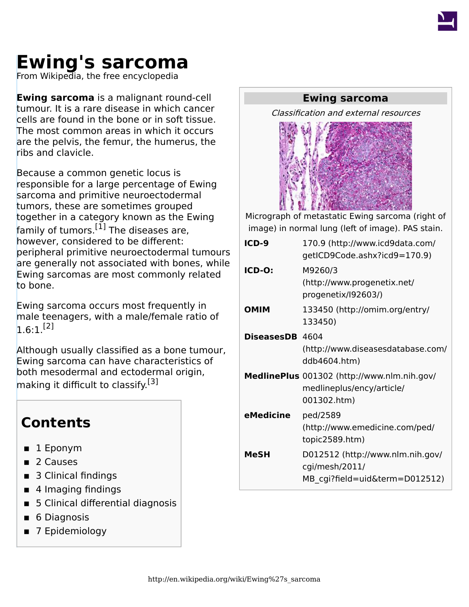

# **Ewing's sarcoma**

From Wikipedia, the free encyclopedia

**Ewing sarcoma** is a malignant round-cell tumour. It is a rare disease in which [cancer](http://en.wikipedia.org/wiki/Cancer) cells are found in the [bone](http://en.wikipedia.org/wiki/Bone) or in soft [tissue](http://en.wikipedia.org/wiki/Biological_tissue). The most common areas in which it occurs are the [pelvis](http://en.wikipedia.org/wiki/Pelvis), the [femur](http://en.wikipedia.org/wiki/Femur), the [humerus,](http://en.wikipedia.org/wiki/Humerus) the [ribs](http://en.wikipedia.org/wiki/Ribs) and clavicle.

<span id="page-0-0"></span>Because a common genetic locus is responsible for a large percentage of Ewing sarcoma and [primitive neuroectodermal](http://en.wikipedia.org/wiki/Primitive_neuroectodermal_tumor) [tumors](http://en.wikipedia.org/wiki/Primitive_neuroectodermal_tumor), these are sometimes grouped together in a category known as the [Ewing](http://en.wikipedia.org/wiki/Ewing_family_of_tumors) [family of tumors](http://en.wikipedia.org/wiki/Ewing_family_of_tumors).<sup>[\[1\]](#page-4-0)</sup> The diseases are, however, considered to be different: peripheral primitive neuroectodermal tumours are generally not associated with bones, while Ewing sarcomas are most commonly related to bone.

<span id="page-0-1"></span>Ewing sarcoma occurs most frequently in male [teenagers,](http://en.wikipedia.org/wiki/Teenagers) with a male/female ratio of  $1.6.1$ <sup>[\[2\]](#page-5-0)</sup>

<span id="page-0-2"></span>Although usually classified as a bone tumour, Ewing sarcoma can have characteristics of both [mesodermal](http://en.wikipedia.org/wiki/Mesoderm) and [ectodermal](http://en.wikipedia.org/wiki/Ectoderm) origin, making it difficult to classify.<sup>[\[3\]](#page-5-1)</sup>

#### **Contents**

- $\blacksquare$  1 [Eponym](#page-1-0)
- 2 [Causes](#page-1-1)
- 3 [Clinical findings](#page-1-2)
- 4 [Imaging findings](#page-2-0)
- 5 [Clinical differential diagnosis](#page-2-1)
- 6 [Diagnosis](#page-3-0)
- 7 [Epidemiology](#page-3-1)

#### **Ewing sarcoma**

Classification and external resources



[Micrograph](http://en.wikipedia.org/wiki/Micrograph) of metastatic Ewing sarcoma (right of image) in normal [lung](http://en.wikipedia.org/wiki/Lung) (left of image). [PAS stain](http://en.wikipedia.org/wiki/PAS_stain).

| $ICD-9$                | 170.9 (http://www.icd9data.com/<br>getICD9Code.ashx?icd9=170.9)                         |
|------------------------|-----------------------------------------------------------------------------------------|
| ICD-O:                 | M9260/3<br>(http://www.progenetix.net/<br>progenetix/192603/)                           |
| <b>OMIM</b>            | 133450 (http://omim.org/entry/<br>133450)                                               |
| <b>DiseasesDB</b> 4604 | (http://www.diseasesdatabase.com/<br>ddb4604.htm)                                       |
|                        | MedlinePlus 001302 (http://www.nlm.nih.gov/<br>medlineplus/ency/article/<br>001302.htm) |
| eMedicine              | ped/2589<br>(http://www.emedicine.com/ped/<br>topic2589.htm)                            |
| MeSH                   | D012512 (http://www.nlm.nih.gov/<br>cgi/mesh/2011/<br>MB cgi?field=uid&term=D012512)    |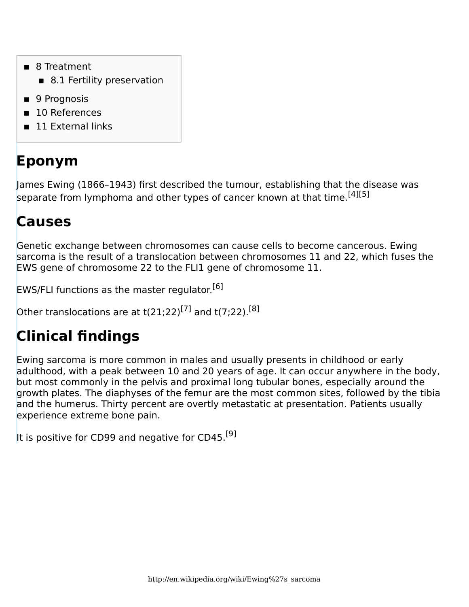- 8 [Treatment](#page-3-2)
	- $\blacksquare$  8.1 [Fertility preservation](#page-4-1)
- 9 [Prognosis](#page-4-2)
- 10 [References](#page-4-3)
- 11 [External links](#page-7-0)

## <span id="page-1-0"></span>**Eponym**

<span id="page-1-3"></span>[James Ewing](http://en.wikipedia.org/wiki/James_Ewing_(pathologist)) (1866–1943) first described the tumour, establishing that the disease was separate from [lymphoma](http://en.wikipedia.org/wiki/Lymphoma) and other types of cancer known at that time.<sup>[\[4\]](#page-5-2)[\[5\]](#page-5-3)</sup>

#### <span id="page-1-1"></span>**Causes**

Genetic exchange between chromosomes can cause cells to become cancerous. Ewing sarcoma is the result of a translocation between chromosomes 11 and 22, which fuses the [EWS gene](http://en.wikipedia.org/wiki/EWS_gene) of [chromosome 22](http://en.wikipedia.org/wiki/Chromosome_22) to the [FLI1](http://en.wikipedia.org/wiki/FLI1) gene of [chromosome 11.](http://en.wikipedia.org/wiki/Chromosome_11)

<span id="page-1-4"></span>EWS/FLI functions as the master regulator.<sup>[\[6\]](#page-5-4)</sup>

<span id="page-1-5"></span>Other translocations are at t(21;22)<sup>[\[7\]](#page-5-5)</sup> and t(7;22).<sup>[\[8\]](#page-5-6)</sup>

## <span id="page-1-2"></span>**Clinical findings**

Ewing sarcoma is more common in males and usually presents in childhood or early adulthood, with a peak between 10 and 20 years of age. It can occur anywhere in the body, but most commonly in the [pelvis](http://en.wikipedia.org/wiki/Pelvis) and proximal long tubular bones, especially around the growth plates. The [diaphyses](http://en.wikipedia.org/wiki/Diaphyses) of the [femur](http://en.wikipedia.org/wiki/Femur) are the most common sites, followed by the [tibia](http://en.wikipedia.org/wiki/Tibia) and the [humerus.](http://en.wikipedia.org/wiki/Humerus) Thirty percent are overtly [metastatic](http://en.wikipedia.org/wiki/Metastasis) at presentation. Patients usually experience extreme bone pain.

<span id="page-1-6"></span>It is positive for [CD99](http://en.wikipedia.org/wiki/CD99) and negative for [CD45.](http://en.wikipedia.org/wiki/CD45)<sup>[\[9\]](#page-5-7)</sup>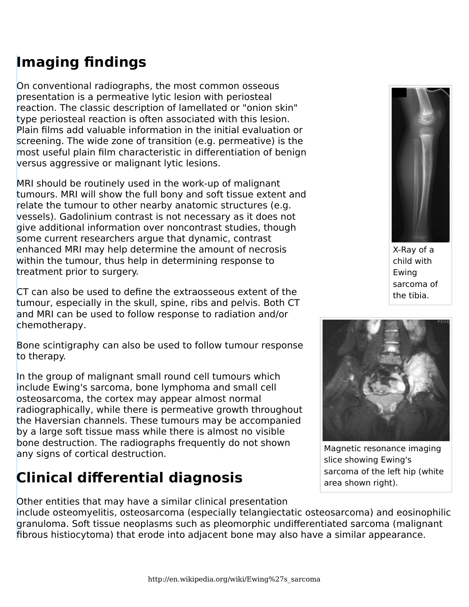## <span id="page-2-0"></span>**Imaging findings**

On conventional [radiographs,](http://en.wikipedia.org/wiki/Radiography) the most common osseous presentation is a permeative lytic lesion with [periosteal](http://en.wikipedia.org/wiki/Periosteum) reaction. The classic description of lamellated or "onion skin" type [periosteal](http://en.wikipedia.org/wiki/Periosteum) reaction is often associated with this lesion. Plain films add valuable information in the initial evaluation or screening. The wide zone of transition (e.g. permeative) is the most useful plain film characteristic in differentiation of benign versus aggressive or malignant lytic lesions.

[MRI](http://en.wikipedia.org/wiki/Magnetic_resonance_imaging) should be routinely used in the work-up of malignant tumours. MRI will show the full bony and soft tissue extent and relate the tumour to other nearby anatomic structures (e.g. vessels). [Gadolinium](http://en.wikipedia.org/wiki/Gadolinium) contrast is not necessary as it does not give additional information over noncontrast studies, though some current researchers argue that dynamic, contrast enhanced MRI may help determine the amount of necrosis within the tumour, thus help in determining response to treatment prior to surgery.

[CT](http://en.wikipedia.org/wiki/Computed_axial_tomography) can also be used to define the extraosseous extent of the tumour, especially in the skull, spine, ribs and pelvis. Both CT and MRI can be used to follow response to radiation and/or [chemotherapy.](http://en.wikipedia.org/wiki/Chemotherapy)

Bone [scintigraphy](http://en.wikipedia.org/wiki/Scintigraphy) can also be used to follow tumour response to therapy.

In the group of malignant small round cell tumours which include Ewing's sarcoma, bone lymphoma and small cell osteosarcoma, the cortex may appear almost normal radiographically, while there is permeative growth throughout the Haversian channels. These tumours may be accompanied by a large soft tissue mass while there is almost no visible bone destruction. The radiographs frequently do not shown any signs of cortical destruction.

## <span id="page-2-1"></span>**Clinical differential diagnosis**

X-Ray of a child with Ewing sarcoma of the [tibia](http://en.wikipedia.org/wiki/Tibia).



[Magnetic resonance imaging](http://en.wikipedia.org/wiki/Magnetic_resonance_imaging) slice showing Ewing's sarcoma of the left hip (white area shown right).

Other entities that may have a similar clinical presentation

include [osteomyelitis](http://en.wikipedia.org/wiki/Osteomyelitis), [osteosarcoma](http://en.wikipedia.org/wiki/Osteosarcoma) (especially telangiectatic osteosarcoma) and [eosinophilic](http://en.wikipedia.org/wiki/Eosinophilic_granuloma) [granuloma](http://en.wikipedia.org/wiki/Eosinophilic_granuloma). Soft tissue neoplasms such as [pleomorphic undifferentiated sarcoma](http://en.wikipedia.org/wiki/Pleomorphic_undifferentiated_sarcoma) (malignant fibrous histiocytoma) that erode into adjacent bone may also have a similar appearance.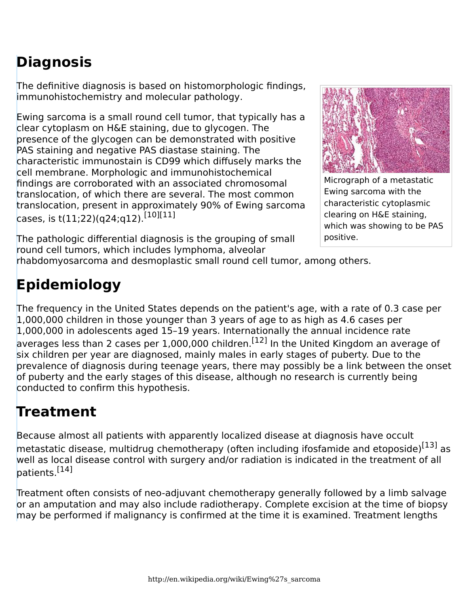## <span id="page-3-0"></span>**Diagnosis**

The definitive diagnosis is based on [histomorphologic](http://en.wikipedia.org/wiki/Histomorphologic) findings, [immunohistochemistry](http://en.wikipedia.org/wiki/Immunohistochemistry) and [molecular pathology](http://en.wikipedia.org/wiki/Molecular_pathology).

Ewing sarcoma is a [small round cell tumor](http://en.wikipedia.org/w/index.php?title=Small_round_cell_tumor&action=edit&redlink=1), that typically has a clear cytoplasm on [H&E staining](http://en.wikipedia.org/wiki/H&E_stain), due to [glycogen.](http://en.wikipedia.org/wiki/Glycogen) The presence of the glycogen can be demonstrated with positive [PAS staining](http://en.wikipedia.org/wiki/PAS_stain) and negative [PAS diastase](http://en.wikipedia.org/wiki/PAS_diastase) staining. The characteristic [immunostain](http://en.wikipedia.org/wiki/Immunostain) is [CD99](http://en.wikipedia.org/wiki/CD99) which diffusely marks the [cell membrane.](http://en.wikipedia.org/wiki/Cell_membrane) Morphologic and immunohistochemical findings are corroborated with an associated [chromosomal](http://en.wikipedia.org/wiki/Chromosomal_translocation) [translocation](http://en.wikipedia.org/wiki/Chromosomal_translocation), of which there are several. The most common translocation, present in approximately 90% of Ewing sarcoma cases, is  $t(11;22)(q24;q12)$ .[\[10\]](#page-5-8)[\[11\]](#page-5-9)



[Micrograph](http://en.wikipedia.org/wiki/Micrograph) of a metastatic Ewing sarcoma with the characteristic cytoplasmic clearing on H&E staining, which was showing to be PAS positive.

<span id="page-3-3"></span>The pathologic differential diagnosis is the grouping of [small](http://en.wikipedia.org/w/index.php?title=Small_round_cell_tumor&action=edit&redlink=1) [round cell tumors](http://en.wikipedia.org/w/index.php?title=Small_round_cell_tumor&action=edit&redlink=1), which includes [lymphoma,](http://en.wikipedia.org/wiki/Lymphoma) alveolar

[rhabdomyosarcoma](http://en.wikipedia.org/wiki/Rhabdomyosarcoma) and [desmoplastic small round cell tumor,](http://en.wikipedia.org/wiki/Desmoplastic_small_round_cell_tumor) among others.

## <span id="page-3-1"></span>**Epidemiology**

<span id="page-3-4"></span>The frequency in the United States depends on the patient's age, with a rate of 0.3 case per 1,000,000 children in those younger than 3 years of age to as high as 4.6 cases per 1,000,000 in adolescents aged 15–19 years. Internationally the annual incidence rate averages less than 2 cases per 1,000,000 children.<sup>[\[12\]](#page-6-0)</sup> In the United Kingdom an average of six children per year are diagnosed, mainly males in early stages of puberty. Due to the prevalence of diagnosis during teenage years, there may possibly be a link between the onset of puberty and the early stages of this disease, although no research is currently being conducted to confirm this hypothesis.

#### <span id="page-3-2"></span>**Treatment**

<span id="page-3-5"></span>Because almost all patients with apparently localized disease at diagnosis have occult metastatic disease, multidrug [chemotherapy](http://en.wikipedia.org/wiki/Chemotherapy) (often including [ifosfamide](http://en.wikipedia.org/wiki/Ifosfamide) and [etoposide](http://en.wikipedia.org/wiki/Etoposide))<sup>[\[13\]](#page-6-1)</sup> as well as local disease control with surgery and/or radiation is indicated in the treatment of all patients.[\[14\]](#page-6-2)

<span id="page-3-6"></span>Treatment often consists of neo-adjuvant [chemotherapy](http://en.wikipedia.org/wiki/Chemotherapy) generally followed by a [limb salvage](http://en.wikipedia.org/w/index.php?title=Limb_salvage&action=edit&redlink=1) or an [amputation](http://en.wikipedia.org/wiki/Amputation) and may also include [radiotherapy.](http://en.wikipedia.org/wiki/Radiotherapy) Complete excision at the time of biopsy may be performed if malignancy is confirmed at the time it is examined. Treatment lengths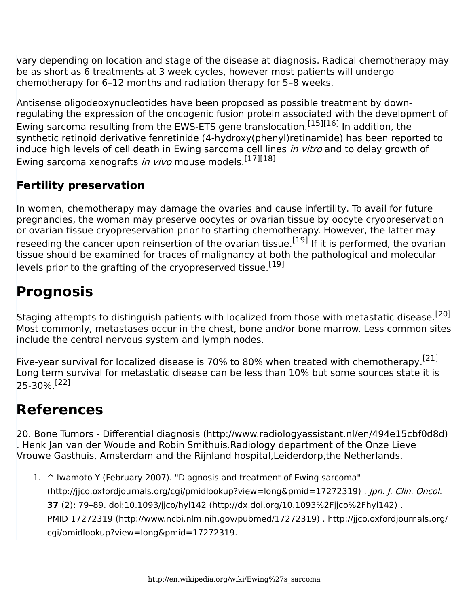vary depending on location and stage of the disease at diagnosis. Radical chemotherapy may be as short as 6 treatments at 3 week cycles, however most patients will undergo chemotherapy for 6–12 months and radiation therapy for 5–8 weeks.

<span id="page-4-4"></span>[Antisense oligodeoxynucleotides](http://en.wikipedia.org/wiki/Antisense_oligodeoxynucleotide) have been proposed as possible treatment by downregulating the expression of the oncogenic fusion protein associated with the development of Ewing sarcoma resulting from the EWS-ETS gene translocation.<sup>[\[15\]](#page-6-3)[\[16\]](#page-6-4)</sup> In addition, the synthetic retinoid derivative fenretinide (4-hydroxy(phenyl)retinamide) has been reported to induce high levels of cell death in Ewing sarcoma cell lines in vitro and to delay growth of Ewing sarcoma xenografts in vivo mouse models.<sup>[\[17\]](#page-6-5)[\[18\]](#page-6-6)</sup>

#### <span id="page-4-5"></span><span id="page-4-1"></span>**Fertility preservation**

<span id="page-4-6"></span>In women, chemotherapy may damage the [ovaries](http://en.wikipedia.org/wiki/Ovaries) and cause [infertility](http://en.wikipedia.org/wiki/Infertility). To avail for future pregnancies, the woman may preserve oocytes or ovarian tissue by [oocyte cryopreservation](http://en.wikipedia.org/wiki/Oocyte_cryopreservation) or [ovarian tissue cryopreservation](http://en.wikipedia.org/wiki/Ovarian_tissue_cryopreservation) prior to starting chemotherapy. However, the latter may reseeding the cancer upon reinsertion of the ovarian tissue.<sup>[\[19\]](#page-6-7)</sup> If it is performed, the ovarian tissue should be examined for traces of malignancy at both the pathological and molecular levels prior to the grafting of the cryopreserved tissue.<sup>[\[19\]](#page-6-7)</sup>

### <span id="page-4-7"></span><span id="page-4-2"></span>**Prognosis**

<span id="page-4-8"></span>Staging attempts to distinguish patients with localized from those with metastatic disease.<sup>[\[20\]](#page-7-1)</sup> Most commonly, [metastases](http://en.wikipedia.org/wiki/Metastasis) occur in the chest, bone and/or bone marrow. Less common sites include the [central nervous system](http://en.wikipedia.org/wiki/Central_nervous_system) and [lymph nodes](http://en.wikipedia.org/wiki/Lymph_node).

<span id="page-4-10"></span><span id="page-4-9"></span>Five-year survival for localized disease is 70% to 80% when treated with [chemotherapy.](http://en.wikipedia.org/wiki/Chemotherapy)<sup>[\[21\]](#page-7-2)</sup> Long term survival for metastatic disease can be less than 10% but some sources state it is  $25-30%$ <sup>[\[22\]](#page-7-3)</sup>

#### <span id="page-4-3"></span>**References**

20. Bone Tumors - Differential diagnosis [\(http://www.radiologyassistant.nl/en/494e15cbf0d8d\)](http://www.radiologyassistant.nl/en/494e15cbf0d8d) . Henk Jan van der Woude and Robin Smithuis.Radiology department of the Onze Lieve Vrouwe Gasthuis, Amsterdam and the Rijnland hospital,Leiderdorp,the Netherlands.

<span id="page-4-0"></span>1. **[^](#page-0-0)** Iwamoto Y (February 2007). ["Diagnosis and treatment of Ewing sarcoma"](http://jjco.oxfordjournals.org/cgi/pmidlookup?view=long&pmid=17272319) [\(http://jjco.oxfordjournals.org/cgi/pmidlookup?view=long&pmid=17272319\)](http://jjco.oxfordjournals.org/cgi/pmidlookup?view=long&pmid=17272319) . *Jpn. J. Clin. Oncol.* **37** (2): 79–89. [doi:](http://en.wikipedia.org/wiki/Digital_object_identifier)10.1093/jjco/hyl142 [\(http://dx.doi.org/10.1093%2Fjjco%2Fhyl142\)](http://dx.doi.org/10.1093%2Fjjco%2Fhyl142) . [PMID](http://en.wikipedia.org/wiki/PubMed_Identifier) 17272319 [\(http://www.ncbi.nlm.nih.gov/pubmed/17272319\)](http://www.ncbi.nlm.nih.gov/pubmed/17272319) . [http://jjco.oxfordjournals.org/](http://jjco.oxfordjournals.org/cgi/pmidlookup?view=long&pmid=17272319) [cgi/pmidlookup?view=long&pmid=17272319.](http://jjco.oxfordjournals.org/cgi/pmidlookup?view=long&pmid=17272319)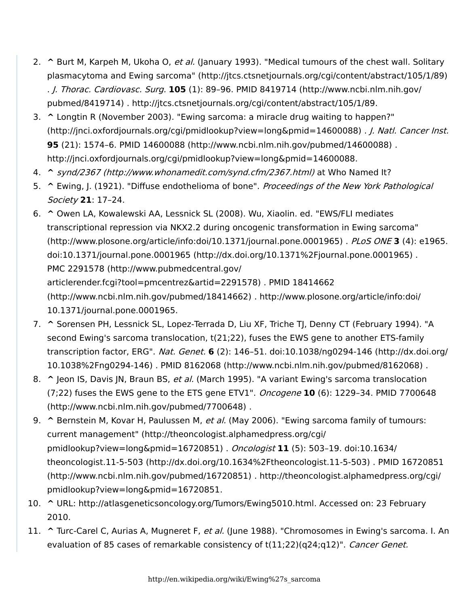- <span id="page-5-0"></span>2. **[^](#page-0-1)** Burt M, Karpeh M, Ukoha O, et al. (January 1993). ["Medical tumours of the chest wall. Solitary](http://jtcs.ctsnetjournals.org/cgi/content/abstract/105/1/89) plasmacytoma and Ewing sarcoma" [\(http://jtcs.ctsnetjournals.org/cgi/content/abstract/105/1/89\)](http://jtcs.ctsnetjournals.org/cgi/content/abstract/105/1/89) . J. Thorac. Cardiovasc. Surg. **105** (1): 89–96. [PMID](http://en.wikipedia.org/wiki/PubMed_Identifier) 8419714 [\(http://www.ncbi.nlm.nih.gov/](http://www.ncbi.nlm.nih.gov/pubmed/8419714) [pubmed/8419714\)](http://www.ncbi.nlm.nih.gov/pubmed/8419714) . [http://jtcs.ctsnetjournals.org/cgi/content/abstract/105/1/89.](http://jtcs.ctsnetjournals.org/cgi/content/abstract/105/1/89)
- <span id="page-5-1"></span>3. **[^](#page-0-2)** Longtin R (November 2003). ["Ewing sarcoma: a miracle drug waiting to happen?"](http://jnci.oxfordjournals.org/cgi/pmidlookup?view=long&pmid=14600088) [\(http://jnci.oxfordjournals.org/cgi/pmidlookup?view=long&pmid=14600088\)](http://jnci.oxfordjournals.org/cgi/pmidlookup?view=long&pmid=14600088) . J. Natl. Cancer Inst. **95** (21): 1574–6. [PMID](http://en.wikipedia.org/wiki/PubMed_Identifier) 14600088 [\(http://www.ncbi.nlm.nih.gov/pubmed/14600088\)](http://www.ncbi.nlm.nih.gov/pubmed/14600088) . [http://jnci.oxfordjournals.org/cgi/pmidlookup?view=long&pmid=14600088.](http://jnci.oxfordjournals.org/cgi/pmidlookup?view=long&pmid=14600088)
- <span id="page-5-2"></span>4. **[^](#page-1-3)** synd/2367 [\(http://www.whonamedit.com/synd.cfm/2367.html\)](http://www.whonamedit.com/synd.cfm/2367.html) at [Who Named It?](http://en.wikipedia.org/wiki/Who_Named_It%3F)
- <span id="page-5-3"></span>5. **[^](#page-1-3)** Ewing, J. (1921). "Diffuse endothelioma of bone". Proceedings of the New York Pathological Society **21**: 17–24.
- <span id="page-5-4"></span>6. **[^](#page-1-4)** Owen LA, Kowalewski AA, Lessnick SL (2008). Wu, Xiaolin. ed. ["EWS/FLI mediates](http://www.plosone.org/article/info:doi/10.1371/journal.pone.0001965) [transcriptional repression via NKX2.2 during oncogenic transformation in Ewing sarcoma"](http://www.plosone.org/article/info:doi/10.1371/journal.pone.0001965) [\(http://www.plosone.org/article/info:doi/10.1371/journal.pone.0001965\)](http://www.plosone.org/article/info:doi/10.1371/journal.pone.0001965) . PLoS ONE **3** (4): e1965. [doi](http://en.wikipedia.org/wiki/Digital_object_identifier):10.1371/journal.pone.0001965 [\(http://dx.doi.org/10.1371%2Fjournal.pone.0001965\)](http://dx.doi.org/10.1371%2Fjournal.pone.0001965) . [PMC](http://en.wikipedia.org/wiki/PubMed_Central) 2291578 [\(http://www.pubmedcentral.gov/](http://www.pubmedcentral.gov/articlerender.fcgi?tool=pmcentrez&artid=2291578) [articlerender.fcgi?tool=pmcentrez&artid=2291578\)](http://www.pubmedcentral.gov/articlerender.fcgi?tool=pmcentrez&artid=2291578) . [PMID](http://en.wikipedia.org/wiki/PubMed_Identifier) [18414662](http://www.ncbi.nlm.nih.gov/pubmed/18414662) [\(http://www.ncbi.nlm.nih.gov/pubmed/18414662\)](http://www.ncbi.nlm.nih.gov/pubmed/18414662) . [http://www.plosone.org/article/info:doi/](http://www.plosone.org/article/info:doi/10.1371/journal.pone.0001965) [10.1371/journal.pone.0001965.](http://www.plosone.org/article/info:doi/10.1371/journal.pone.0001965)
- <span id="page-5-5"></span>7. **[^](#page-1-5)** Sorensen PH, Lessnick SL, Lopez-Terrada D, Liu XF, Triche TJ, Denny CT (February 1994). "A second Ewing's sarcoma translocation, t(21;22), fuses the EWS gene to another ETS-family transcription factor, ERG". Nat. Genet. **6** (2): 146–51. [doi:](http://en.wikipedia.org/wiki/Digital_object_identifier)[10.1038/ng0294-146](http://dx.doi.org/10.1038%2Fng0294-146) (http://dx.doi.org/ [10.1038%2Fng0294-146\)](http://dx.doi.org/10.1038%2Fng0294-146) . [PMID](http://en.wikipedia.org/wiki/PubMed_Identifier) 8162068 [\(http://www.ncbi.nlm.nih.gov/pubmed/8162068\)](http://www.ncbi.nlm.nih.gov/pubmed/8162068) .
- <span id="page-5-6"></span>8. **[^](#page-1-5)** Jeon IS, Davis JN, Braun BS, et al. (March 1995). "A variant Ewing's sarcoma translocation (7;22) fuses the EWS gene to the ETS gene ETV1". Oncogene **10** (6): 1229–34. [PMID](http://en.wikipedia.org/wiki/PubMed_Identifier) [7700648](http://www.ncbi.nlm.nih.gov/pubmed/7700648) [\(http://www.ncbi.nlm.nih.gov/pubmed/7700648\)](http://www.ncbi.nlm.nih.gov/pubmed/7700648) .
- <span id="page-5-7"></span>9. **[^](#page-1-6)** Bernstein M, Kovar H, Paulussen M, et al. (May 2006). ["Ewing sarcoma family of tumours:](http://theoncologist.alphamedpress.org/cgi/pmidlookup?view=long&pmid=16720851) current management" [\(http://theoncologist.alphamedpress.org/cgi/](http://theoncologist.alphamedpress.org/cgi/pmidlookup?view=long&pmid=16720851) [pmidlookup?view=long&pmid=16720851\)](http://theoncologist.alphamedpress.org/cgi/pmidlookup?view=long&pmid=16720851) . Oncologist **11** (5): 503–19. [doi](http://en.wikipedia.org/wiki/Digital_object_identifier)[:10.1634/](http://dx.doi.org/10.1634%2Ftheoncologist.11-5-503) theoncologist.11-5-503 [\(http://dx.doi.org/10.1634%2Ftheoncologist.11-5-503\)](http://dx.doi.org/10.1634%2Ftheoncologist.11-5-503) . [PMID](http://en.wikipedia.org/wiki/PubMed_Identifier) [16720851](http://www.ncbi.nlm.nih.gov/pubmed/16720851) [\(http://www.ncbi.nlm.nih.gov/pubmed/16720851\)](http://www.ncbi.nlm.nih.gov/pubmed/16720851) . [http://theoncologist.alphamedpress.org/cgi/](http://theoncologist.alphamedpress.org/cgi/pmidlookup?view=long&pmid=16720851) [pmidlookup?view=long&pmid=16720851](http://theoncologist.alphamedpress.org/cgi/pmidlookup?view=long&pmid=16720851).
- <span id="page-5-8"></span>10. **[^](#page-3-3)** URL: <http://atlasgeneticsoncology.org/Tumors/Ewing5010.html>. Accessed on: 23 February 2010.
- <span id="page-5-9"></span>11. **[^](#page-3-3)** Turc-Carel C, Aurias A, Mugneret F, et al. (June 1988). "Chromosomes in Ewing's sarcoma. I. An evaluation of 85 cases of remarkable consistency of t(11;22)(q24;q12)". Cancer Genet.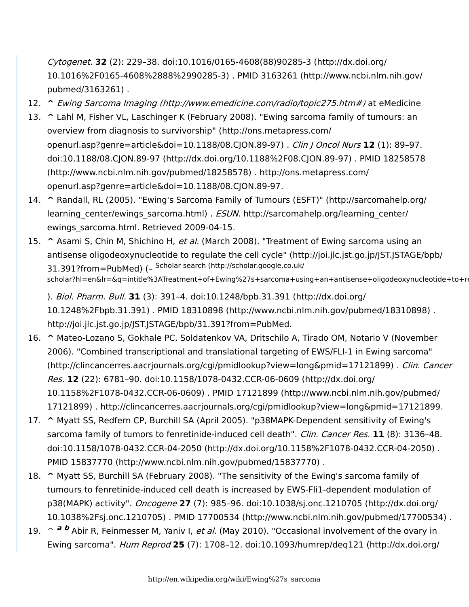Cytogenet. **32** (2): 229–38. [doi](http://en.wikipedia.org/wiki/Digital_object_identifier)[:10.1016/0165-4608\(88\)90285-3](http://dx.doi.org/10.1016%2F0165-4608%2888%2990285-3) (http://dx.doi.org/ [10.1016%2F0165-4608%2888%2990285-3\)](http://dx.doi.org/10.1016%2F0165-4608%2888%2990285-3) . [PMID](http://en.wikipedia.org/wiki/PubMed_Identifier) 3163261 [\(http://www.ncbi.nlm.nih.gov/](http://www.ncbi.nlm.nih.gov/pubmed/3163261) [pubmed/3163261\)](http://www.ncbi.nlm.nih.gov/pubmed/3163261) .

- <span id="page-6-0"></span>12. **[^](#page-3-4)** Ewing Sarcoma Imaging [\(http://www.emedicine.com/radio/topic275.htm#\)](http://www.emedicine.com/radio/topic275.htm) at [eMedicine](http://en.wikipedia.org/wiki/EMedicine)
- <span id="page-6-1"></span>13. **[^](#page-3-5)** Lahl M, Fisher VL, Laschinger K (February 2008). ["Ewing sarcoma family of tumours: an](http://ons.metapress.com/openurl.asp?genre=article&doi=10.1188/08.CJON.89-97) [overview from diagnosis to survivorship"](http://ons.metapress.com/openurl.asp?genre=article&doi=10.1188/08.CJON.89-97) (http://ons.metapress.com/ [openurl.asp?genre=article&doi=10.1188/08.CJON.89-97\)](http://ons.metapress.com/openurl.asp?genre=article&doi=10.1188/08.CJON.89-97) . Clin J Oncol Nurs **12** (1): 89–97. [doi](http://en.wikipedia.org/wiki/Digital_object_identifier):10.1188/08.CJON.89-97 [\(http://dx.doi.org/10.1188%2F08.CJON.89-97\)](http://dx.doi.org/10.1188%2F08.CJON.89-97) . [PMID](http://en.wikipedia.org/wiki/PubMed_Identifier) [18258578](http://www.ncbi.nlm.nih.gov/pubmed/18258578) [\(http://www.ncbi.nlm.nih.gov/pubmed/18258578\)](http://www.ncbi.nlm.nih.gov/pubmed/18258578) . [http://ons.metapress.com/](http://ons.metapress.com/openurl.asp?genre=article&doi=10.1188/08.CJON.89-97) [openurl.asp?genre=article&doi=10.1188/08.CJON.89-97.](http://ons.metapress.com/openurl.asp?genre=article&doi=10.1188/08.CJON.89-97)
- <span id="page-6-2"></span>14. **[^](#page-3-6)** Randall, RL (2005). ["Ewing's Sarcoma Family of Tumours \(ESFT\)"](http://sarcomahelp.org/learning_center/ewings_sarcoma.html) (http://sarcomahelp.org/ learning center/ewings sarcoma.html) . ESUN. http://sarcomahelp.org/learning center/ [ewings\\_sarcoma.html.](http://sarcomahelp.org/learning_center/ewings_sarcoma.html) Retrieved 2009-04-15.
- <span id="page-6-3"></span>15. **[^](#page-4-4)** Asami S, Chin M, Shichino H, et al. (March 2008). ["Treatment of Ewing sarcoma using an](http://joi.jlc.jst.go.jp/JST.JSTAGE/bpb/31.391?from=PubMed) [antisense oligodeoxynucleotide to regulate the cell cycle"](http://joi.jlc.jst.go.jp/JST.JSTAGE/bpb/31.391?from=PubMed) (http://joi.jlc.jst.go.jp/JST.JSTAGE/bpb/ [31.391?from=PubMed\)](http://joi.jlc.jst.go.jp/JST.JSTAGE/bpb/31.391?from=PubMed) (– Scholar search [\(http://scholar.google.co.uk/](http://scholar.google.co.uk/scholar?hl=en&lr=&q=intitle%3ATreatment+of+Ewing%27s+sarcoma+using+an+antisense+oligodeoxynucleotide+to+regulate+the+cell+cycle&as_publication=Biol.+Pharm.+Bull.&as_ylo=2008&as_yhi=2008&btnG=Search) scholar?hl=en&lr=&q=intitle%3ATreatment+of+Ewing%27s+sarcoma+using+an+antisense+oligodeoxynucleotide+to+re

). Biol. Pharm. Bull. **31** (3): 391–4. [doi](http://en.wikipedia.org/wiki/Digital_object_identifier):[10.1248/bpb.31.391](http://dx.doi.org/10.1248%2Fbpb.31.391) (http://dx.doi.org/ [10.1248%2Fbpb.31.391\)](http://dx.doi.org/10.1248%2Fbpb.31.391) . [PMID](http://en.wikipedia.org/wiki/PubMed_Identifier) 18310898 [\(http://www.ncbi.nlm.nih.gov/pubmed/18310898\)](http://www.ncbi.nlm.nih.gov/pubmed/18310898) . [http://joi.jlc.jst.go.jp/JST.JSTAGE/bpb/31.391?from=PubMed.](http://joi.jlc.jst.go.jp/JST.JSTAGE/bpb/31.391?from=PubMed)

- <span id="page-6-4"></span>16. **[^](#page-4-4)** Mateo-Lozano S, Gokhale PC, Soldatenkov VA, Dritschilo A, Tirado OM, Notario V (November 2006). ["Combined transcriptional and translational targeting of EWS/FLI-1 in Ewing sarcoma"](http://clincancerres.aacrjournals.org/cgi/pmidlookup?view=long&pmid=17121899) [\(http://clincancerres.aacrjournals.org/cgi/pmidlookup?view=long&pmid=17121899\)](http://clincancerres.aacrjournals.org/cgi/pmidlookup?view=long&pmid=17121899) . Clin. Cancer Res. **12** (22): 6781–90. [doi](http://en.wikipedia.org/wiki/Digital_object_identifier)[:10.1158/1078-0432.CCR-06-0609](http://dx.doi.org/10.1158%2F1078-0432.CCR-06-0609) (http://dx.doi.org/ [10.1158%2F1078-0432.CCR-06-0609\)](http://dx.doi.org/10.1158%2F1078-0432.CCR-06-0609) . [PMID](http://en.wikipedia.org/wiki/PubMed_Identifier) 17121899 [\(http://www.ncbi.nlm.nih.gov/pubmed/](http://www.ncbi.nlm.nih.gov/pubmed/17121899) [17121899\)](http://www.ncbi.nlm.nih.gov/pubmed/17121899) . <http://clincancerres.aacrjournals.org/cgi/pmidlookup?view=long&pmid=17121899>.
- <span id="page-6-5"></span>17. **[^](#page-4-5)** Myatt SS, Redfern CP, Burchill SA (April 2005). "p38MAPK-Dependent sensitivity of Ewing's sarcoma family of tumors to fenretinide-induced cell death". Clin. Cancer Res. 11 (8): 3136-48. [doi](http://en.wikipedia.org/wiki/Digital_object_identifier):10.1158/1078-0432.CCR-04-2050 [\(http://dx.doi.org/10.1158%2F1078-0432.CCR-04-2050\)](http://dx.doi.org/10.1158%2F1078-0432.CCR-04-2050) . [PMID](http://en.wikipedia.org/wiki/PubMed_Identifier) 15837770 [\(http://www.ncbi.nlm.nih.gov/pubmed/15837770\)](http://www.ncbi.nlm.nih.gov/pubmed/15837770) .
- <span id="page-6-6"></span>18. **[^](#page-4-5)** Myatt SS, Burchill SA (February 2008). "The sensitivity of the Ewing's sarcoma family of tumours to fenretinide-induced cell death is increased by EWS-Fli1-dependent modulation of p38(MAPK) activity". Oncogene **27** (7): 985–96. [doi](http://en.wikipedia.org/wiki/Digital_object_identifier):[10.1038/sj.onc.1210705](http://dx.doi.org/10.1038%2Fsj.onc.1210705) (http://dx.doi.org/ [10.1038%2Fsj.onc.1210705\)](http://dx.doi.org/10.1038%2Fsj.onc.1210705) . [PMID](http://en.wikipedia.org/wiki/PubMed_Identifier) 17700534 [\(http://www.ncbi.nlm.nih.gov/pubmed/17700534\)](http://www.ncbi.nlm.nih.gov/pubmed/17700534) .
- <span id="page-6-7"></span>19.  $\sim$  **[a](#page-4-6) [b](#page-4-7)** Abir R, Feinmesser M, Yaniv I, et al. (May 2010). "Occasional involvement of the ovary in Ewing sarcoma". Hum Reprod **25** (7): 1708–12. [doi:](http://en.wikipedia.org/wiki/Digital_object_identifier)[10.1093/humrep/deq121](http://dx.doi.org/10.1093%2Fhumrep%2Fdeq121) (http://dx.doi.org/